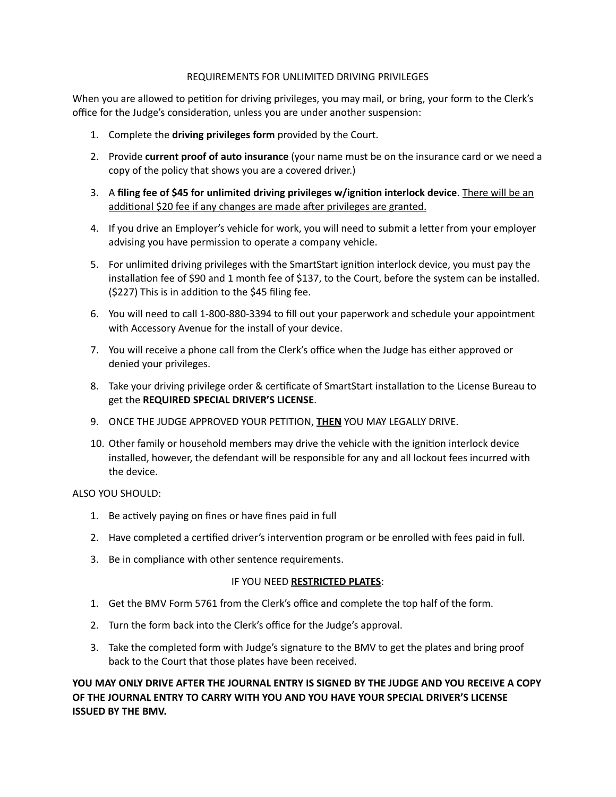### REQUIREMENTS FOR UNLIMITED DRIVING PRIVILEGES

When you are allowed to petition for driving privileges, you may mail, or bring, your form to the Clerk's office for the Judge's consideration, unless you are under another suspension:

- 1. Complete the **driving privileges form** provided by the Court.
- 2. Provide **current proof of auto insurance** (your name must be on the insurance card or we need a copy of the policy that shows you are a covered driver.)
- 3. A **filing fee of \$45 for unlimited driving privileges w/ignition interlock device**. There will be an additional \$20 fee if any changes are made after privileges are granted.
- 4. If you drive an Employer's vehicle for work, you will need to submit a letter from your employer advising you have permission to operate a company vehicle.
- 5. For unlimited driving privileges with the SmartStart ignition interlock device, you must pay the installation fee of \$90 and 1 month fee of \$137, to the Court, before the system can be installed. (\$227) This is in addition to the \$45 filing fee.
- 6. You will need to call 1-800-880-3394 to fill out your paperwork and schedule your appointment with Accessory Avenue for the install of your device.
- 7. You will receive a phone call from the Clerk's office when the Judge has either approved or denied your privileges.
- 8. Take your driving privilege order & certificate of SmartStart installation to the License Bureau to get the **REQUIRED SPECIAL DRIVER'S LICENSE**.
- 9. ONCE THE JUDGE APPROVED YOUR PETITION, **THEN** YOU MAY LEGALLY DRIVE.
- 10. Other family or household members may drive the vehicle with the ignition interlock device installed, however, the defendant will be responsible for any and all lockout fees incurred with the device.

ALSO YOU SHOULD:

- 1. Be actively paying on fines or have fines paid in full
- 2. Have completed a certified driver's intervention program or be enrolled with fees paid in full.
- 3. Be in compliance with other sentence requirements.

#### IF YOU NEED **RESTRICTED PLATES**:

- 1. Get the BMV Form 5761 from the Clerk's office and complete the top half of the form.
- 2. Turn the form back into the Clerk's office for the Judge's approval.
- 3. Take the completed form with Judge's signature to the BMV to get the plates and bring proof back to the Court that those plates have been received.

**YOU MAY ONLY DRIVE AFTER THE JOURNAL ENTRY IS SIGNED BY THE JUDGE AND YOU RECEIVE A COPY OF THE JOURNAL ENTRY TO CARRY WITH YOU AND YOU HAVE YOUR SPECIAL DRIVER'S LICENSE ISSUED BY THE BMV.**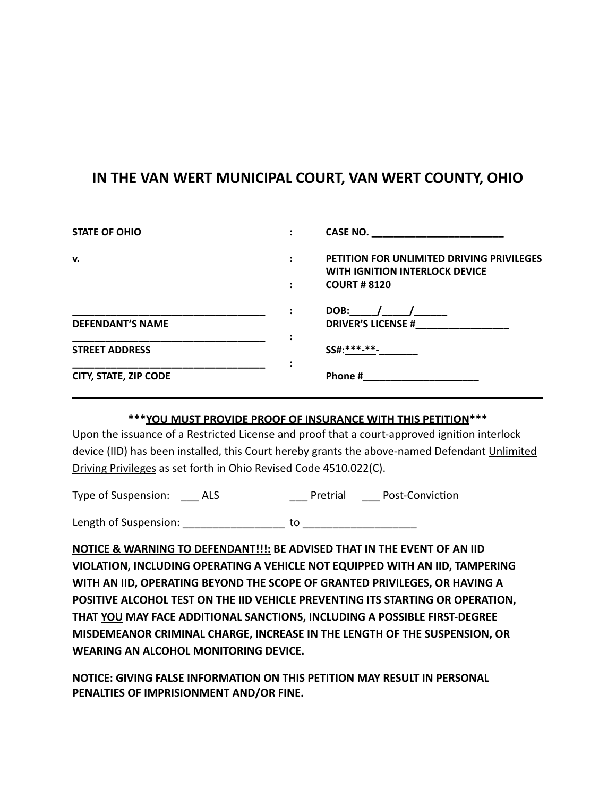# **IN THE VAN WERT MUNICIPAL COURT, VAN WERT COUNTY, OHIO**

| <b>STATE OF OHIO</b>    | CASE NO.                                                                                                  |
|-------------------------|-----------------------------------------------------------------------------------------------------------|
| v.                      | PETITION FOR UNLIMITED DRIVING PRIVILEGES<br><b>WITH IGNITION INTERLOCK DEVICE</b><br><b>COURT # 8120</b> |
| <b>DEFENDANT'S NAME</b> | DOB: $/$ $/$<br><b>DRIVER'S LICENSE #</b>                                                                 |
| <b>STREET ADDRESS</b>   | SS#:***-**-                                                                                               |
| CITY, STATE, ZIP CODE   | Phone#                                                                                                    |

# **\*\*\*YOU MUST PROVIDE PROOF OF INSURANCE WITH THIS PETITION\*\*\***

Upon the issuance of a Restricted License and proof that a court-approved ignition interlock device (IID) has been installed, this Court hereby grants the above-named Defendant Unlimited Driving Privileges as set forth in Ohio Revised Code 4510.022(C).

Type of Suspension: \_\_\_ ALS \_\_\_ Pretrial \_\_\_ Post-Conviction

Length of Suspension: \_\_\_\_\_\_\_\_\_\_\_\_\_\_\_\_\_ to \_\_\_\_\_\_\_\_\_\_\_\_\_\_\_\_\_\_\_

**NOTICE & WARNING TO DEFENDANT!!!: BE ADVISED THAT IN THE EVENT OF AN IID VIOLATION, INCLUDING OPERATING A VEHICLE NOT EQUIPPED WITH AN IID, TAMPERING WITH AN IID, OPERATING BEYOND THE SCOPE OF GRANTED PRIVILEGES, OR HAVING A POSITIVE ALCOHOL TEST ON THE IID VEHICLE PREVENTING ITS STARTING OR OPERATION, THAT YOU MAY FACE ADDITIONAL SANCTIONS, INCLUDING A POSSIBLE FIRST-DEGREE MISDEMEANOR CRIMINAL CHARGE, INCREASE IN THE LENGTH OF THE SUSPENSION, OR WEARING AN ALCOHOL MONITORING DEVICE.**

**NOTICE: GIVING FALSE INFORMATION ON THIS PETITION MAY RESULT IN PERSONAL PENALTIES OF IMPRISIONMENT AND/OR FINE.**